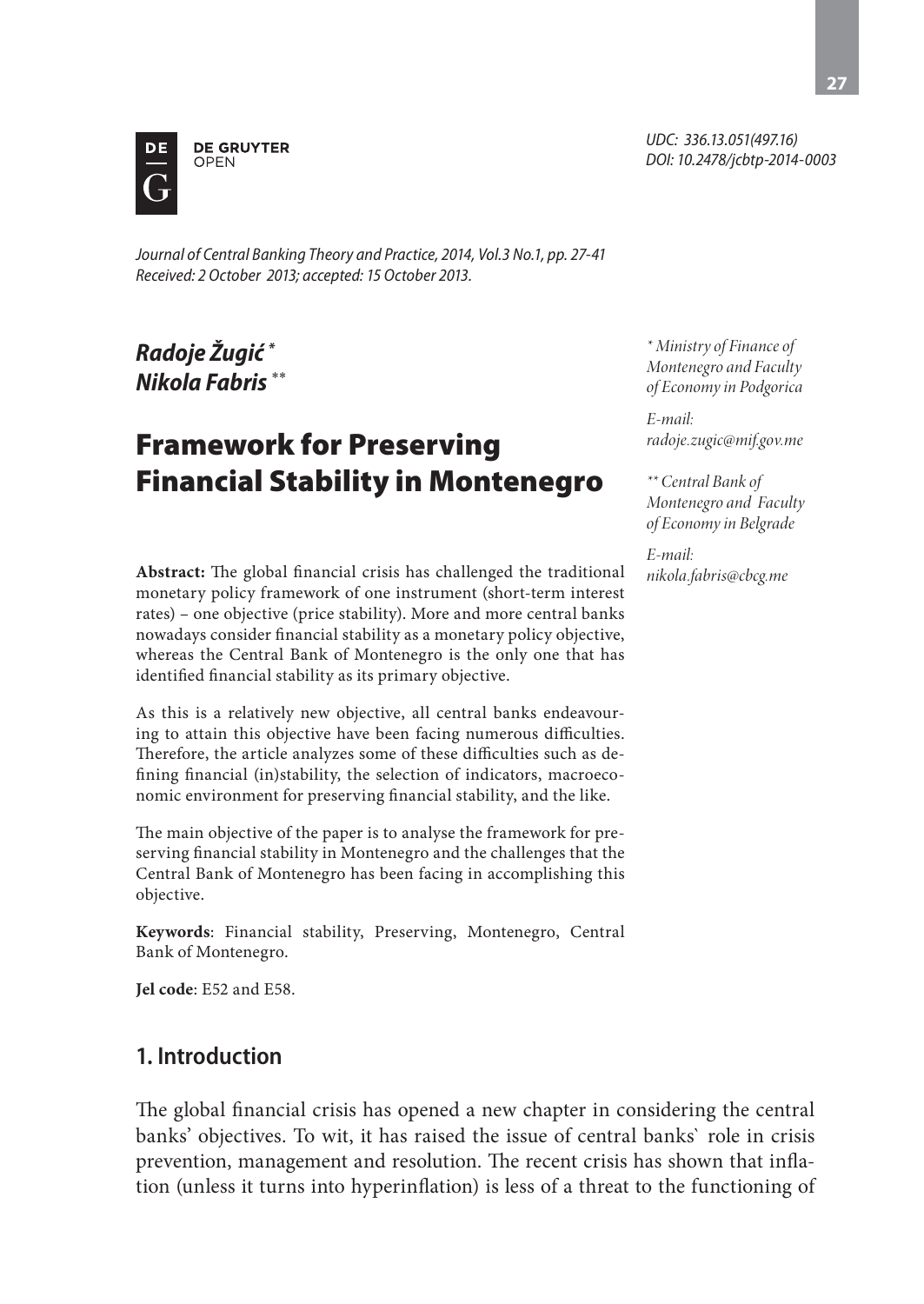*UDC: 336.13.051(497.16) DOI: 10.2478/jcbtp-2014-0003*



*Journal of Central Banking Theory and Practice, 2014, Vol.3 No.1, pp. 27-41 Received: 2 October 2013; accepted: 15 October 2013.* 

*Radoje Žugić \* Nikola Fabris* \*\*

# Framework for Preserving Financial Stability in Montenegro

**Abstract:** The global financial crisis has challenged the traditional monetary policy framework of one instrument (short-term interest rates) – one objective (price stability). More and more central banks nowadays consider financial stability as a monetary policy objective, whereas the Central Bank of Montenegro is the only one that has identified financial stability as its primary objective.

As this is a relatively new objective, all central banks endeavouring to attain this objective have been facing numerous difficulties. Therefore, the article analyzes some of these difficulties such as defining financial (in)stability, the selection of indicators, macroeconomic environment for preserving financial stability, and the like.

The main objective of the paper is to analyse the framework for preserving financial stability in Montenegro and the challenges that the Central Bank of Montenegro has been facing in accomplishing this objective.

**Keywords**: Financial stability, Preserving, Montenegro, Central Bank of Montenegro.

**Jel code**: E52 and E58.

# **1. Introduction**

The global financial crisis has opened a new chapter in considering the central banks' objectives. To wit, it has raised the issue of central banks` role in crisis prevention, management and resolution. The recent crisis has shown that inflation (unless it turns into hyperinflation) is less of a threat to the functioning of

*\* Ministry of Finance of Montenegro and Faculty of Economy in Podgorica*

*E-mail: radoje.zugic@mif.gov.me*

*\*\* Central Bank of Montenegro and Faculty of Economy in Belgrade*

*E-mail: nikola.fabris@cbcg.me*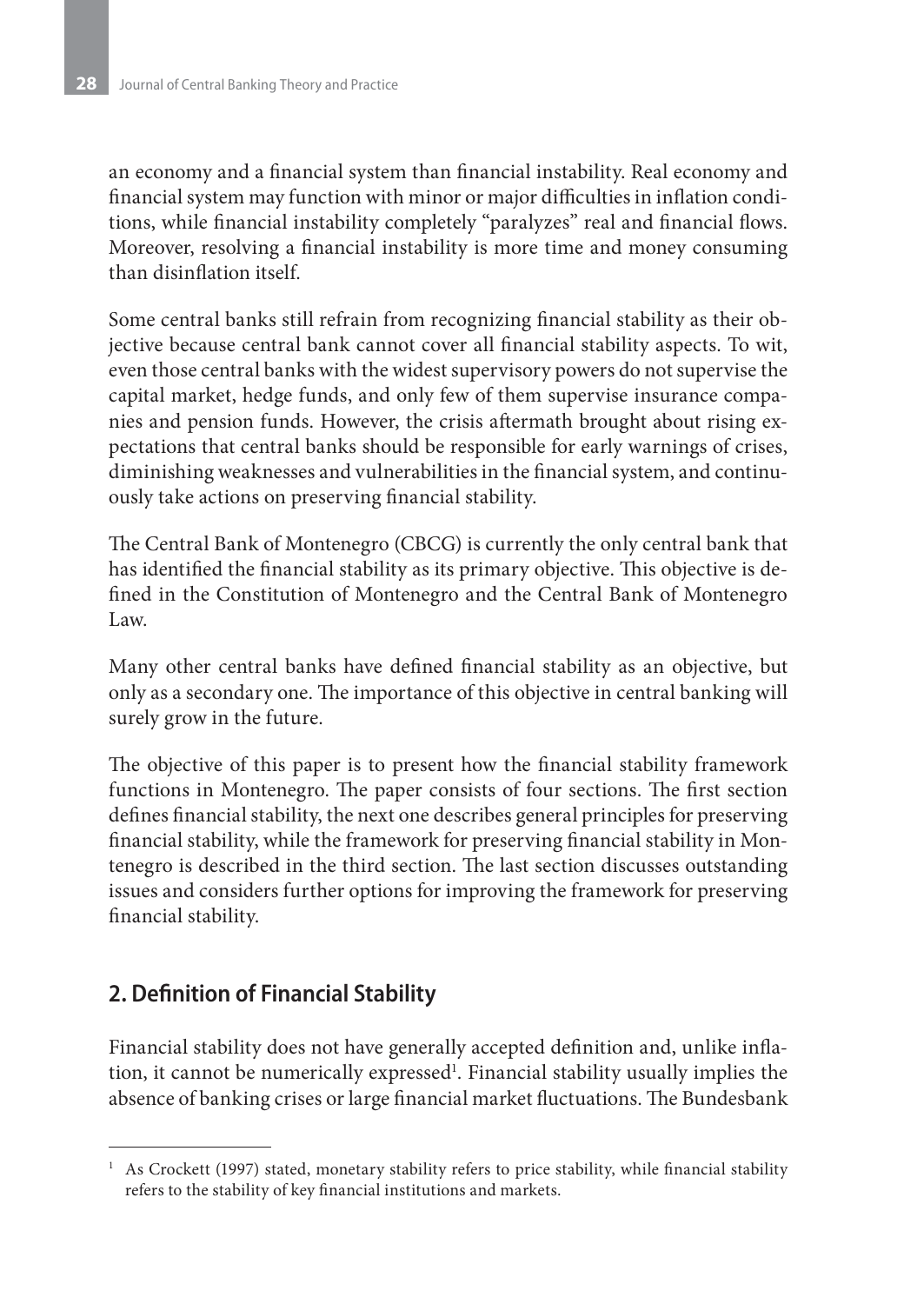an economy and a financial system than financial instability. Real economy and financial system may function with minor or major difficulties in inflation conditions, while financial instability completely "paralyzes" real and financial flows. Moreover, resolving a financial instability is more time and money consuming than disinflation itself.

Some central banks still refrain from recognizing financial stability as their objective because central bank cannot cover all financial stability aspects. To wit, even those central banks with the widest supervisory powers do not supervise the capital market, hedge funds, and only few of them supervise insurance companies and pension funds. However, the crisis aftermath brought about rising expectations that central banks should be responsible for early warnings of crises, diminishing weaknesses and vulnerabilities in the financial system, and continuously take actions on preserving financial stability.

The Central Bank of Montenegro (CBCG) is currently the only central bank that has identified the financial stability as its primary objective. This objective is defined in the Constitution of Montenegro and the Central Bank of Montenegro Law.

Many other central banks have defined financial stability as an objective, but only as a secondary one. The importance of this objective in central banking will surely grow in the future.

The objective of this paper is to present how the financial stability framework functions in Montenegro. The paper consists of four sections. The first section defines financial stability, the next one describes general principles for preserving financial stability, while the framework for preserving financial stability in Montenegro is described in the third section. The last section discusses outstanding issues and considers further options for improving the framework for preserving financial stability.

# **2. Definition of Financial Stability**

Financial stability does not have generally accepted definition and, unlike inflation, it cannot be numerically expressed<sup>1</sup>. Financial stability usually implies the absence of banking crises or large financial market fluctuations. The Bundesbank

<sup>&</sup>lt;sup>1</sup> As Crockett (1997) stated, monetary stability refers to price stability, while financial stability refers to the stability of key financial institutions and markets.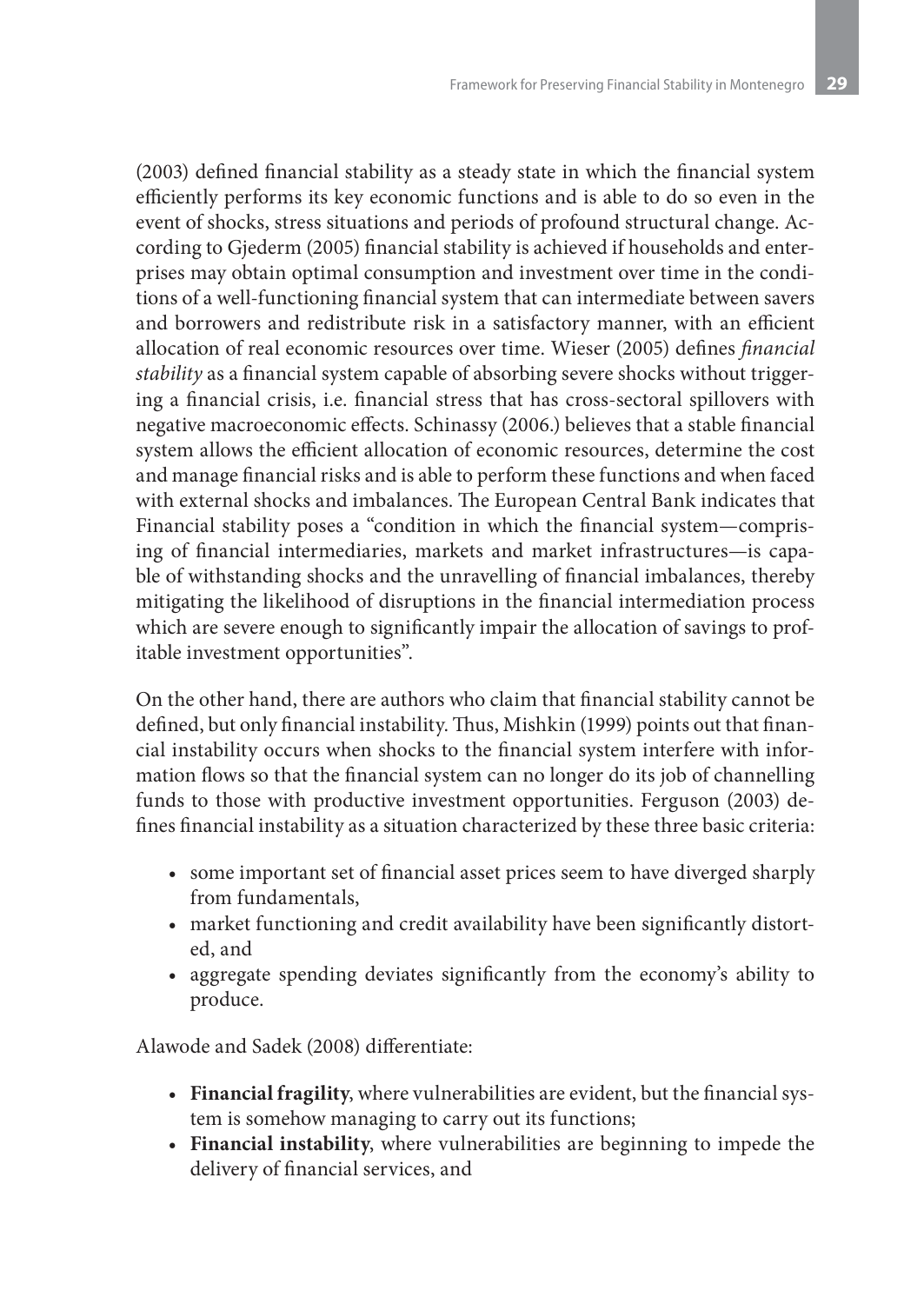(2003) defined financial stability as a steady state in which the financial system efficiently performs its key economic functions and is able to do so even in the event of shocks, stress situations and periods of profound structural change. According to Gjederm (2005) financial stability is achieved if households and enterprises may obtain optimal consumption and investment over time in the conditions of a well-functioning financial system that can intermediate between savers and borrowers and redistribute risk in a satisfactory manner, with an efficient allocation of real economic resources over time. Wieser (2005) defines *financial stability* as a financial system capable of absorbing severe shocks without triggering a financial crisis, i.e. financial stress that has cross-sectoral spillovers with negative macroeconomic effects. Schinassy (2006.) believes that a stable financial system allows the efficient allocation of economic resources, determine the cost and manage financial risks and is able to perform these functions and when faced with external shocks and imbalances. The European Central Bank indicates that Financial stability poses a "condition in which the financial system—comprising of financial intermediaries, markets and market infrastructures—is capable of withstanding shocks and the unravelling of financial imbalances, thereby mitigating the likelihood of disruptions in the financial intermediation process which are severe enough to significantly impair the allocation of savings to profitable investment opportunities".

On the other hand, there are authors who claim that financial stability cannot be defined, but only financial instability. Thus, Mishkin (1999) points out that financial instability occurs when shocks to the financial system interfere with information flows so that the financial system can no longer do its job of channelling funds to those with productive investment opportunities. Ferguson (2003) defines financial instability as a situation characterized by these three basic criteria:

- some important set of financial asset prices seem to have diverged sharply from fundamentals,
- market functioning and credit availability have been significantly distorted, and
- aggregate spending deviates significantly from the economy's ability to produce.

Alawode and Sadek (2008) differentiate:

- • **Financial fragility**, where vulnerabilities are evident, but the financial system is somehow managing to carry out its functions;
- • **Financial instability**, where vulnerabilities are beginning to impede the delivery of financial services, and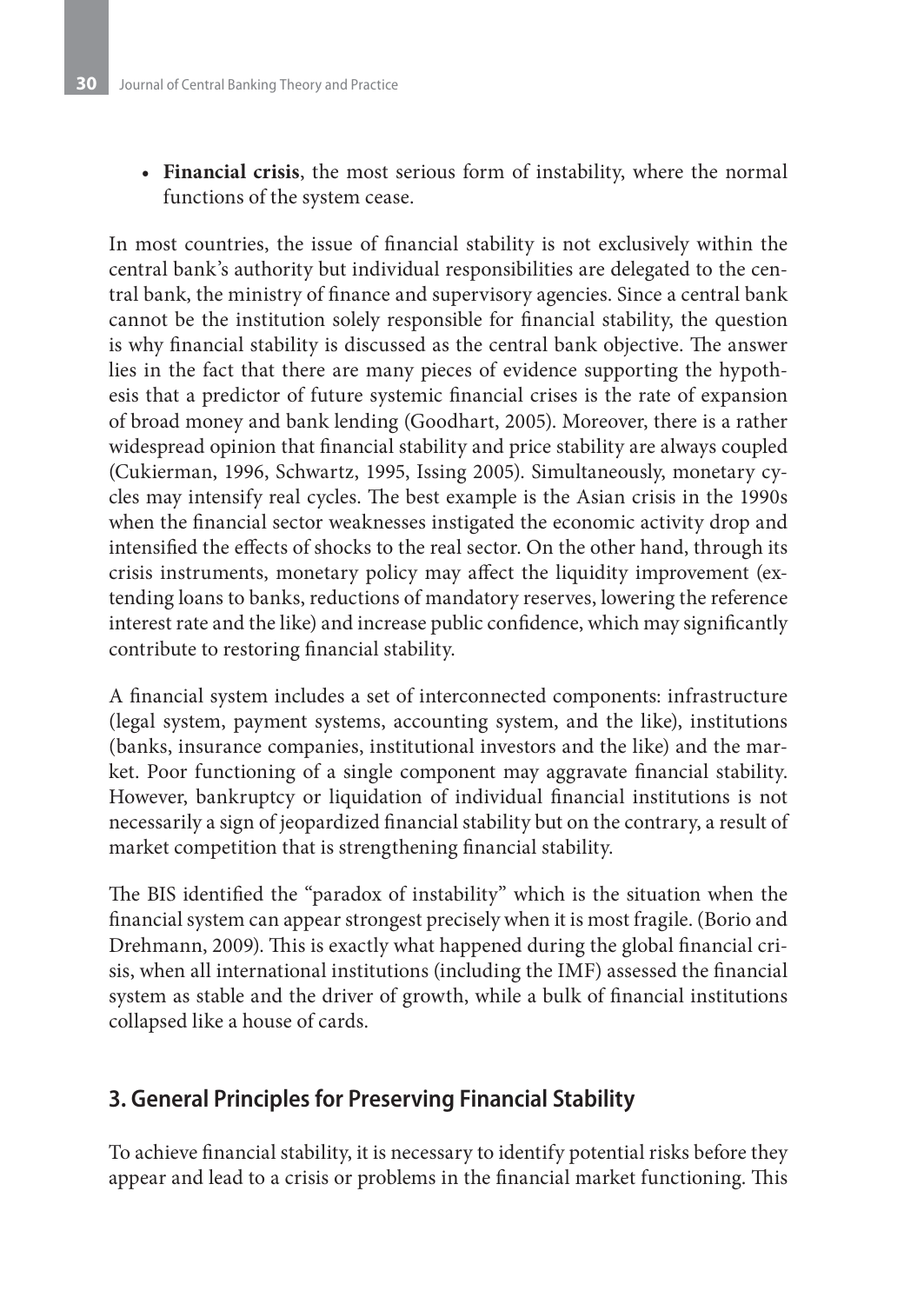• **Financial crisis**, the most serious form of instability, where the normal functions of the system cease.

In most countries, the issue of financial stability is not exclusively within the central bank's authority but individual responsibilities are delegated to the central bank, the ministry of finance and supervisory agencies. Since a central bank cannot be the institution solely responsible for financial stability, the question is why financial stability is discussed as the central bank objective. The answer lies in the fact that there are many pieces of evidence supporting the hypothesis that a predictor of future systemic financial crises is the rate of expansion of broad money and bank lending (Goodhart, 2005). Moreover, there is a rather widespread opinion that financial stability and price stability are always coupled (Cukierman, 1996, Schwartz, 1995, Issing 2005). Simultaneously, monetary cycles may intensify real cycles. The best example is the Asian crisis in the 1990s when the financial sector weaknesses instigated the economic activity drop and intensified the effects of shocks to the real sector. On the other hand, through its crisis instruments, monetary policy may affect the liquidity improvement (extending loans to banks, reductions of mandatory reserves, lowering the reference interest rate and the like) and increase public confidence, which may significantly contribute to restoring financial stability.

A financial system includes a set of interconnected components: infrastructure (legal system, payment systems, accounting system, and the like), institutions (banks, insurance companies, institutional investors and the like) and the market. Poor functioning of a single component may aggravate financial stability. However, bankruptcy or liquidation of individual financial institutions is not necessarily a sign of jeopardized financial stability but on the contrary, a result of market competition that is strengthening financial stability.

The BIS identified the "paradox of instability" which is the situation when the financial system can appear strongest precisely when it is most fragile. (Borio and Drehmann, 2009). This is exactly what happened during the global financial crisis, when all international institutions (including the IMF) assessed the financial system as stable and the driver of growth, while a bulk of financial institutions collapsed like a house of cards.

### **3. General Principles for Preserving Financial Stability**

To achieve financial stability, it is necessary to identify potential risks before they appear and lead to a crisis or problems in the financial market functioning. This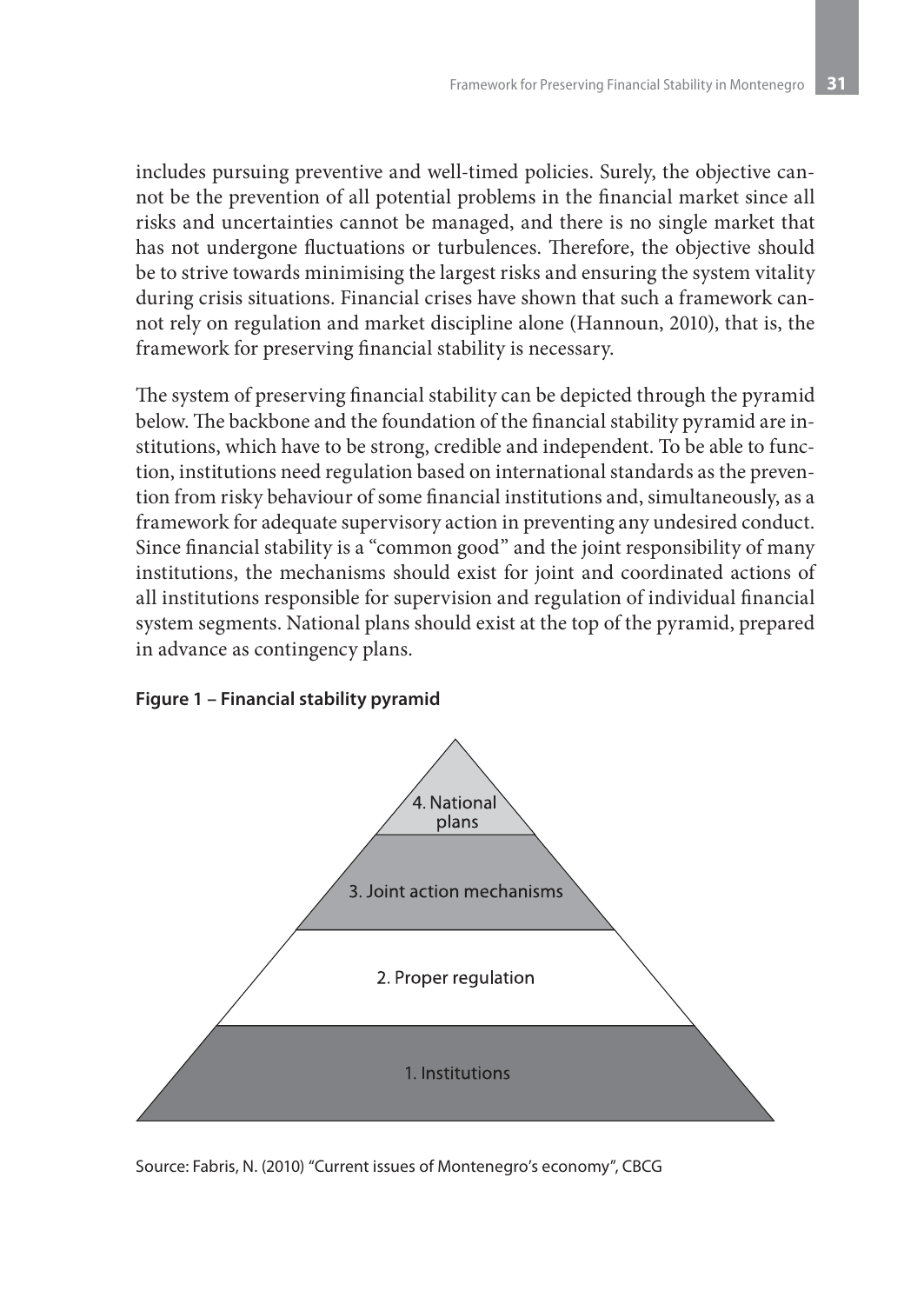includes pursuing preventive and well-timed policies. Surely, the objective cannot be the prevention of all potential problems in the financial market since all risks and uncertainties cannot be managed, and there is no single market that has not undergone fluctuations or turbulences. Therefore, the objective should be to strive towards minimising the largest risks and ensuring the system vitality during crisis situations. Financial crises have shown that such a framework cannot rely on regulation and market discipline alone (Hannoun, 2010), that is, the framework for preserving financial stability is necessary.

The system of preserving financial stability can be depicted through the pyramid below. The backbone and the foundation of the financial stability pyramid are institutions, which have to be strong, credible and independent. To be able to function, institutions need regulation based on international standards as the prevention from risky behaviour of some financial institutions and, simultaneously, as a framework for adequate supervisory action in preventing any undesired conduct. Since financial stability is a "common good" and the joint responsibility of many institutions, the mechanisms should exist for joint and coordinated actions of all institutions responsible for supervision and regulation of individual financial system segments. National plans should exist at the top of the pyramid, prepared in advance as contingency plans.



#### **Figure 1 – Financial stability pyramid**

Source: Fabris, N. (2010) "Current issues of Montenegro's economy", CBCG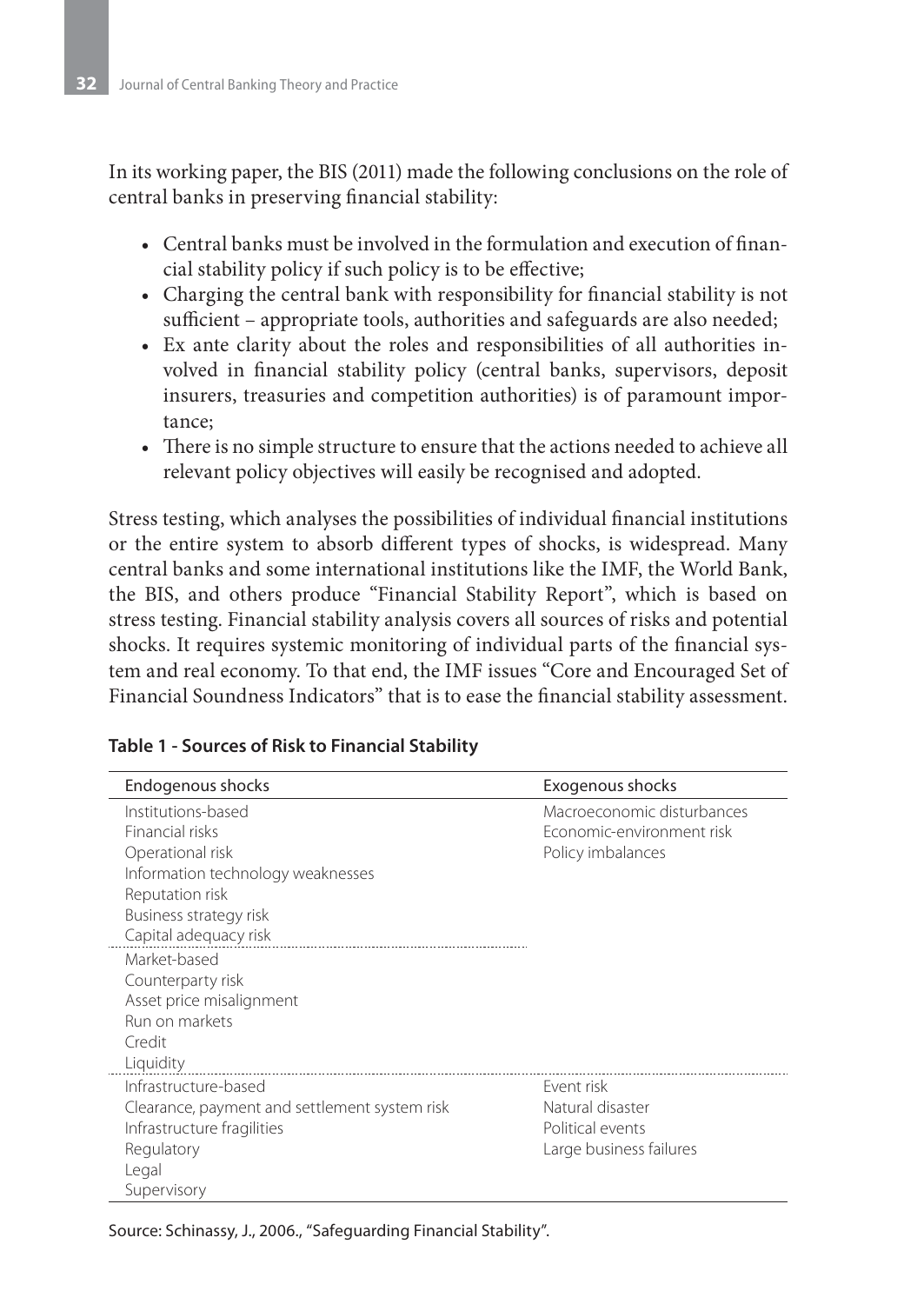In its working paper, the BIS (2011) made the following conclusions on the role of central banks in preserving financial stability:

- • Central banks must be involved in the formulation and execution of financial stability policy if such policy is to be effective;
- Charging the central bank with responsibility for financial stability is not sufficient – appropriate tools, authorities and safeguards are also needed;
- • Ex ante clarity about the roles and responsibilities of all authorities involved in financial stability policy (central banks, supervisors, deposit insurers, treasuries and competition authorities) is of paramount importance;
- There is no simple structure to ensure that the actions needed to achieve all relevant policy objectives will easily be recognised and adopted.

Stress testing, which analyses the possibilities of individual financial institutions or the entire system to absorb different types of shocks, is widespread. Many central banks and some international institutions like the IMF, the World Bank, the BIS, and others produce "Financial Stability Report", which is based on stress testing. Financial stability analysis covers all sources of risks and potential shocks. It requires systemic monitoring of individual parts of the financial system and real economy. To that end, the IMF issues "Core and Encouraged Set of Financial Soundness Indicators" that is to ease the financial stability assessment.

| Endogenous shocks                             | Exogenous shocks           |
|-----------------------------------------------|----------------------------|
| Institutions-based                            | Macroeconomic disturbances |
| Financial risks                               | Fconomic-environment risk  |
| Operational risk                              | Policy imbalances          |
| Information technology weaknesses             |                            |
| Reputation risk                               |                            |
| Business strategy risk                        |                            |
| Capital adequacy risk                         |                            |
| Market-based                                  |                            |
| Counterparty risk                             |                            |
| Asset price misalignment                      |                            |
| Run on markets                                |                            |
| Credit                                        |                            |
| Liquidity                                     |                            |
| Infrastructure-based                          | Fvent risk                 |
| Clearance, payment and settlement system risk | Natural disaster           |
| Infrastructure fragilities                    | Political events           |
| Regulatory                                    | Large business failures    |
| Legal                                         |                            |
| Supervisory                                   |                            |

**Table 1 - Sources of Risk to Financial Stability**

Source: Schinassy, J., 2006., "Safeguarding Financial Stability".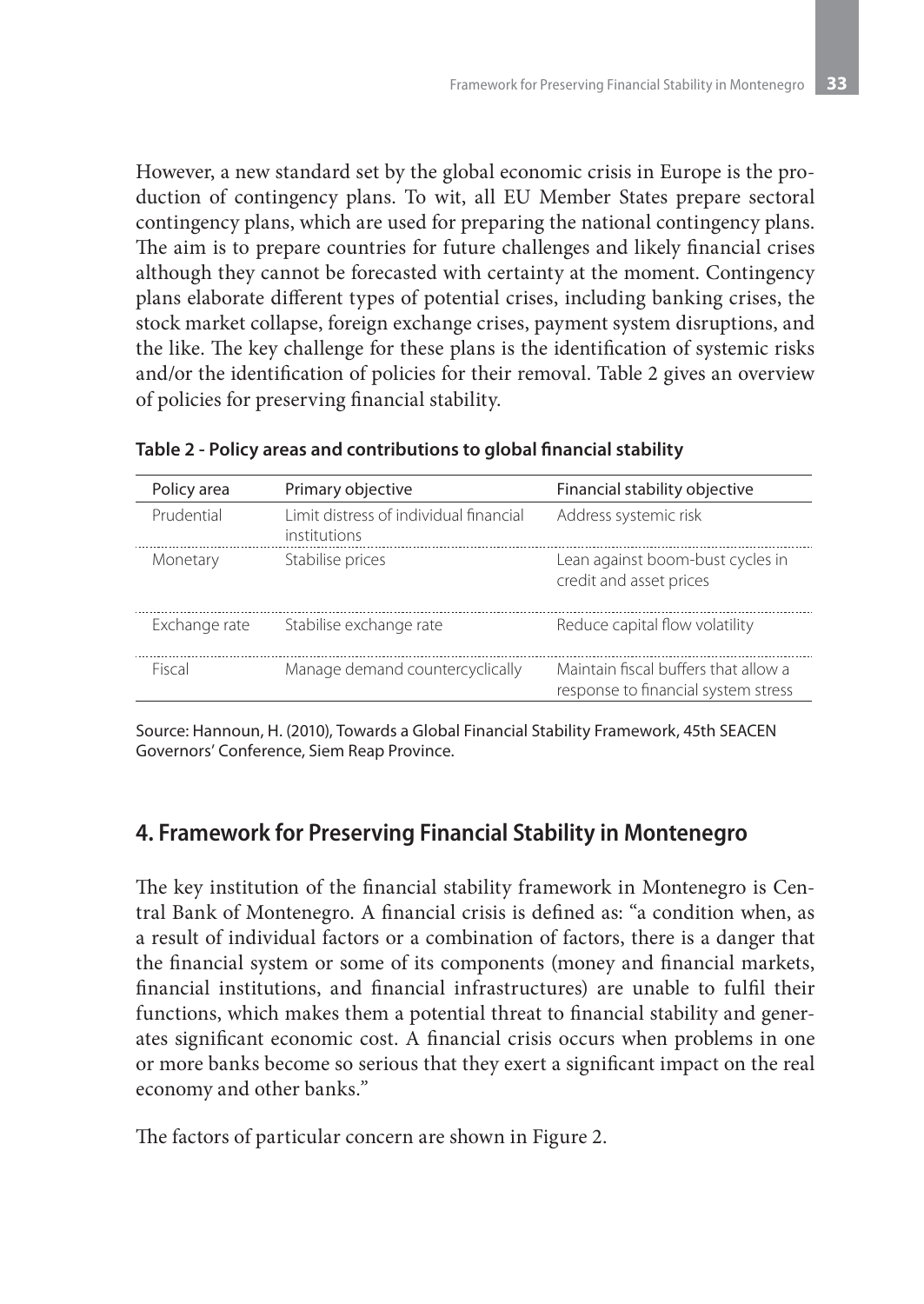However, a new standard set by the global economic crisis in Europe is the production of contingency plans. To wit, all EU Member States prepare sectoral contingency plans, which are used for preparing the national contingency plans. The aim is to prepare countries for future challenges and likely financial crises although they cannot be forecasted with certainty at the moment. Contingency plans elaborate different types of potential crises, including banking crises, the stock market collapse, foreign exchange crises, payment system disruptions, and the like. The key challenge for these plans is the identification of systemic risks and/or the identification of policies for their removal. Table 2 gives an overview of policies for preserving financial stability.

| Policy area   | Primary objective                                      | Financial stability objective                                               |
|---------------|--------------------------------------------------------|-----------------------------------------------------------------------------|
| Prudential    | Limit distress of individual financial<br>institutions | Address systemic risk                                                       |
| Monetary      | Stabilise prices                                       | Lean against boom-bust cycles in<br>credit and asset prices                 |
| Exchange rate | Stabilise exchange rate                                | Reduce capital flow volatility                                              |
| Fiscal        | Manage demand countercyclically                        | Maintain fiscal buffers that allow a<br>response to financial system stress |

**Table 2 - Policy areas and contributions to global financial stability** 

Source: Hannoun, H. (2010), Towards a Global Financial Stability Framework, 45th SEACEN Governors' Conference, Siem Reap Province.

### **4. Framework for Preserving Financial Stability in Montenegro**

The key institution of the financial stability framework in Montenegro is Central Bank of Montenegro. A financial crisis is defined as: "a condition when, as a result of individual factors or a combination of factors, there is a danger that the financial system or some of its components (money and financial markets, financial institutions, and financial infrastructures) are unable to fulfil their functions, which makes them a potential threat to financial stability and generates significant economic cost. A financial crisis occurs when problems in one or more banks become so serious that they exert a significant impact on the real economy and other banks.*"* 

The factors of particular concern are shown in Figure 2.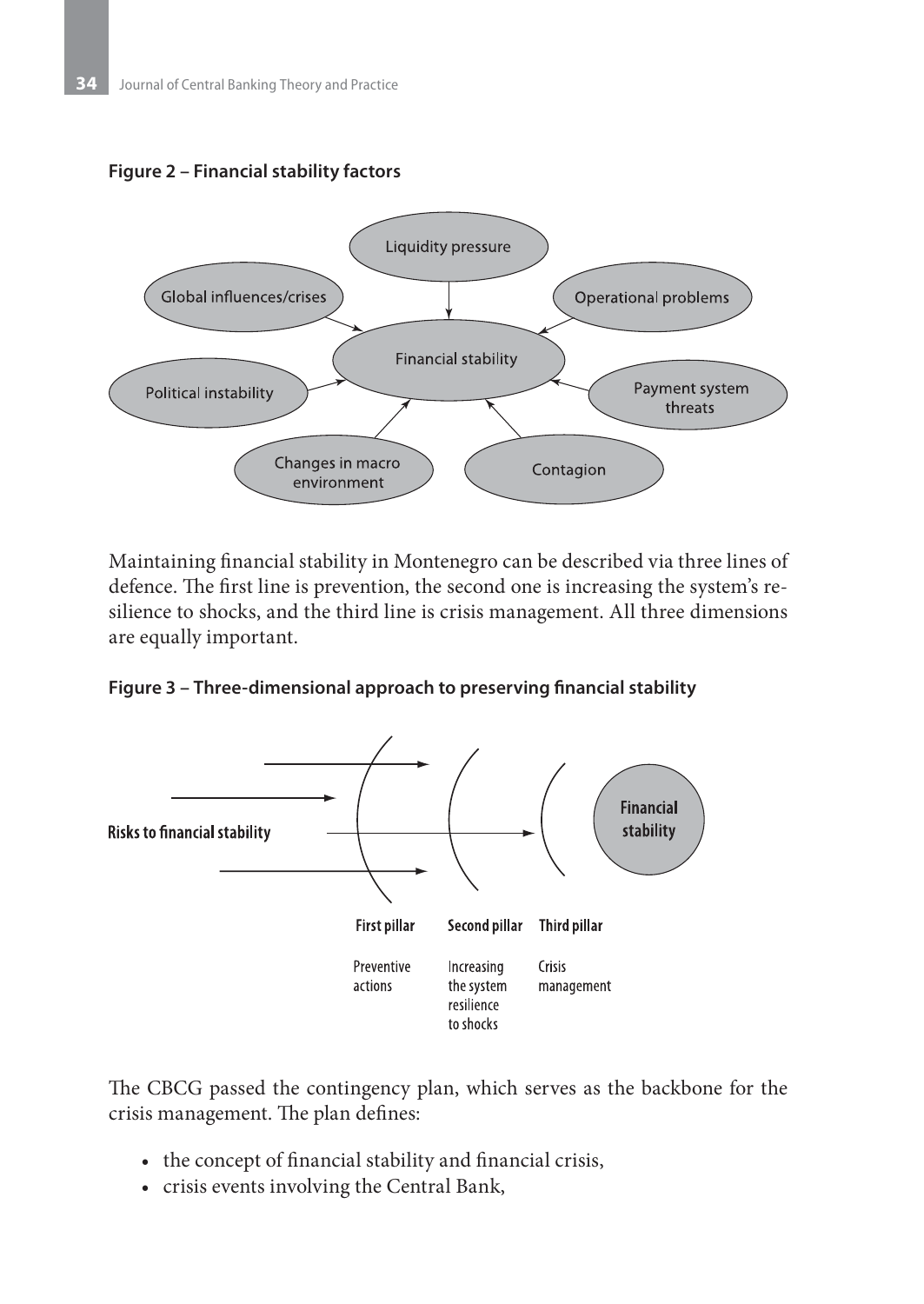



Maintaining financial stability in Montenegro can be described via three lines of defence. The first line is prevention, the second one is increasing the system's resilience to shocks, and the third line is crisis management. All three dimensions are equally important.

**Figure 3 – Three-dimensional approach to preserving financial stability**



The CBCG passed the contingency plan, which serves as the backbone for the crisis management. The plan defines:

- • the concept of financial stability and financial crisis,
- • crisis events involving the Central Bank,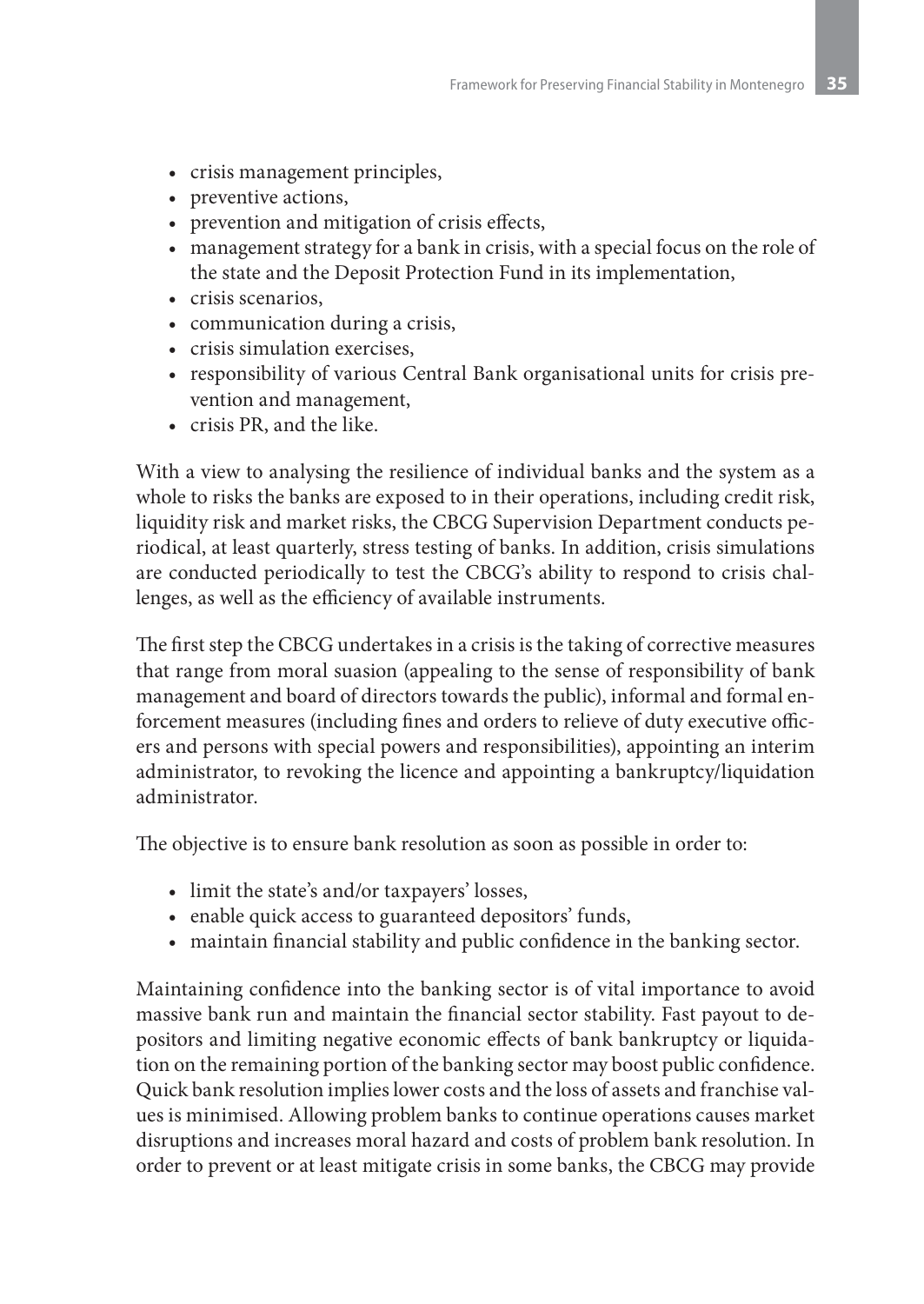- crisis management principles,
- preventive actions,
- prevention and mitigation of crisis effects,
- management strategy for a bank in crisis, with a special focus on the role of the state and the Deposit Protection Fund in its implementation,
- • crisis scenarios,
- communication during a crisis,
- crisis simulation exercises,
- responsibility of various Central Bank organisational units for crisis prevention and management,
- • crisis PR, and the like.

With a view to analysing the resilience of individual banks and the system as a whole to risks the banks are exposed to in their operations, including credit risk, liquidity risk and market risks, the CBCG Supervision Department conducts periodical, at least quarterly, stress testing of banks. In addition, crisis simulations are conducted periodically to test the CBCG's ability to respond to crisis challenges, as well as the efficiency of available instruments.

The first step the CBCG undertakes in a crisis is the taking of corrective measures that range from moral suasion (appealing to the sense of responsibility of bank management and board of directors towards the public), informal and formal enforcement measures (including fines and orders to relieve of duty executive officers and persons with special powers and responsibilities), appointing an interim administrator, to revoking the licence and appointing a bankruptcy/liquidation administrator.

The objective is to ensure bank resolution as soon as possible in order to:

- limit the state's and/or taxpayers' losses,
- enable quick access to guaranteed depositors' funds,
- maintain financial stability and public confidence in the banking sector.

Maintaining confidence into the banking sector is of vital importance to avoid massive bank run and maintain the financial sector stability. Fast payout to depositors and limiting negative economic effects of bank bankruptcy or liquidation on the remaining portion of the banking sector may boost public confidence. Quick bank resolution implies lower costs and the loss of assets and franchise values is minimised. Allowing problem banks to continue operations causes market disruptions and increases moral hazard and costs of problem bank resolution. In order to prevent or at least mitigate crisis in some banks, the CBCG may provide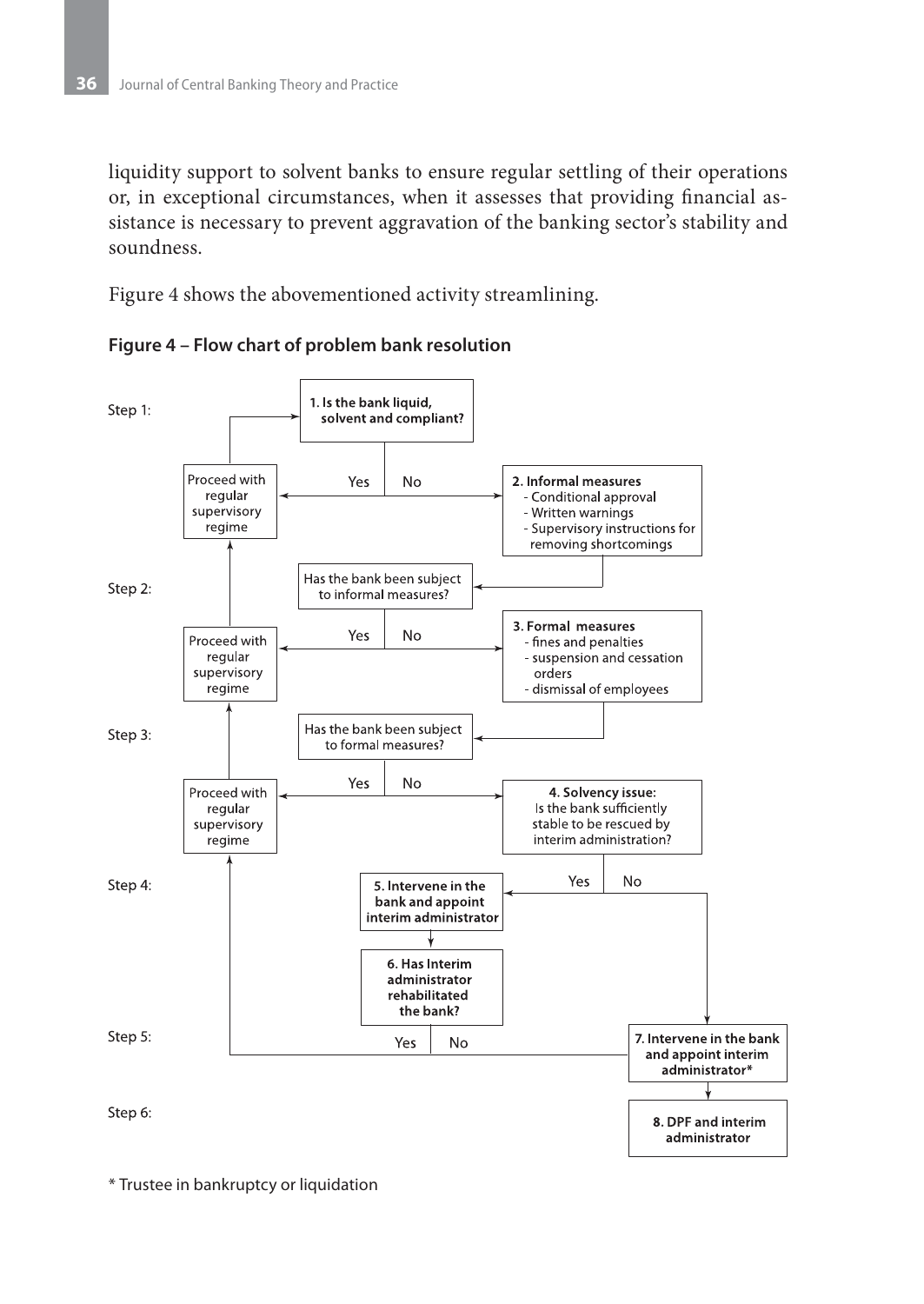liquidity support to solvent banks to ensure regular settling of their operations or, in exceptional circumstances, when it assesses that providing financial assistance is necessary to prevent aggravation of the banking sector's stability and soundness.

Figure 4 shows the abovementioned activity streamlining.



**Figure 4 – Flow chart of problem bank resolution**

\* Trustee in bankruptcy or liquidation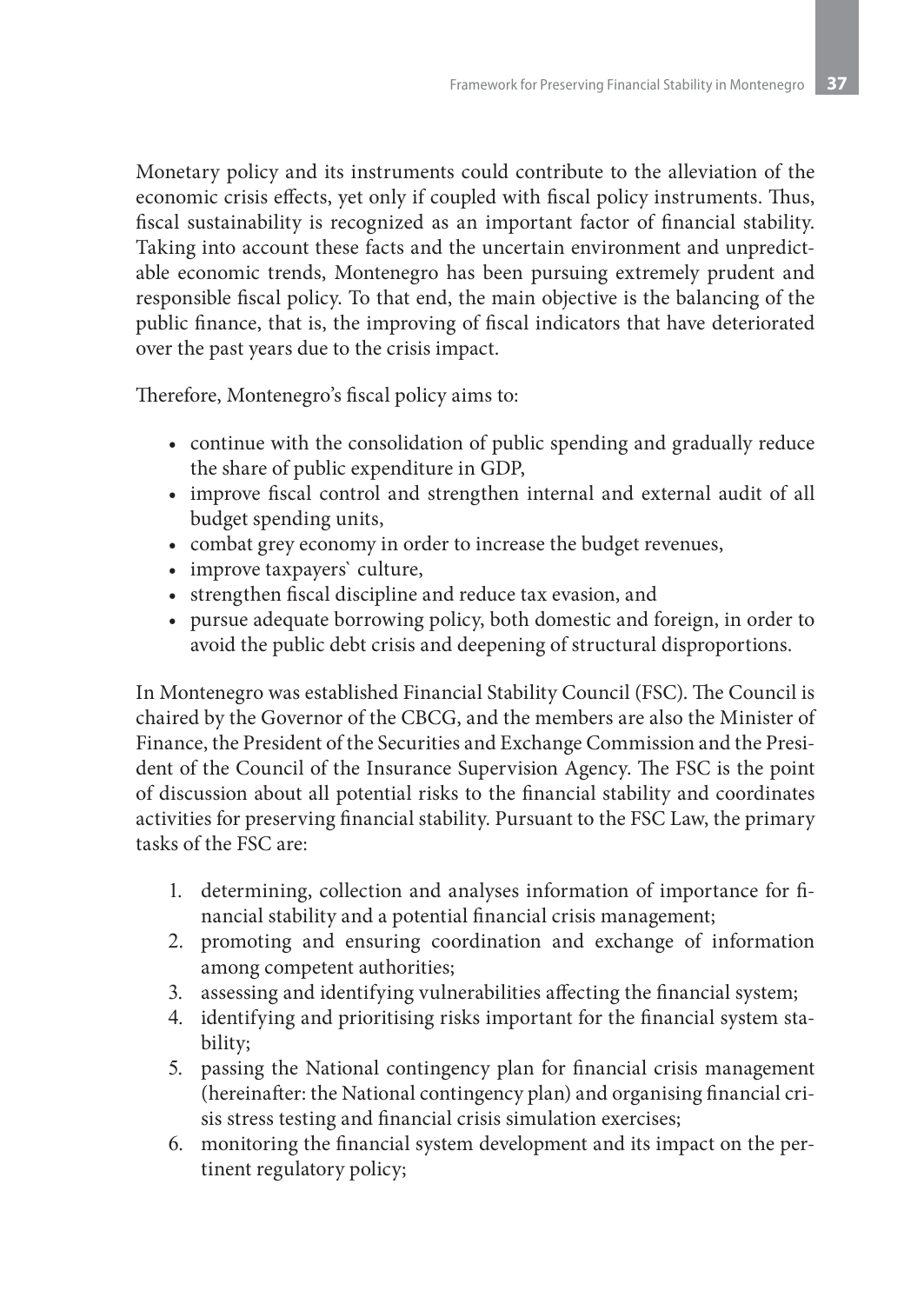Monetary policy and its instruments could contribute to the alleviation of the economic crisis effects, yet only if coupled with fiscal policy instruments. Thus, fiscal sustainability is recognized as an important factor of financial stability. Taking into account these facts and the uncertain environment and unpredictable economic trends, Montenegro has been pursuing extremely prudent and responsible fiscal policy. To that end, the main objective is the balancing of the public finance, that is, the improving of fiscal indicators that have deteriorated over the past years due to the crisis impact.

Therefore, Montenegro's fiscal policy aims to:

- continue with the consolidation of public spending and gradually reduce the share of public expenditure in GDP,
- improve fiscal control and strengthen internal and external audit of all budget spending units,
- combat grey economy in order to increase the budget revenues,
- improve taxpayers' culture,
- • strengthen fiscal discipline and reduce tax evasion, and
- pursue adequate borrowing policy, both domestic and foreign, in order to avoid the public debt crisis and deepening of structural disproportions.

In Montenegro was established Financial Stability Council (FSC). The Council is chaired by the Governor of the CBCG, and the members are also the Minister of Finance, the President of the Securities and Exchange Commission and the President of the Council of the Insurance Supervision Agency. The FSC is the point of discussion about all potential risks to the financial stability and coordinates activities for preserving financial stability. Pursuant to the FSC Law, the primary tasks of the FSC are:

- 1. determining, collection and analyses information of importance for financial stability and a potential financial crisis management;
- 2. promoting and ensuring coordination and exchange of information among competent authorities;
- 3. assessing and identifying vulnerabilities affecting the financial system;
- 4. identifying and prioritising risks important for the financial system stability;
- 5. passing the National contingency plan for financial crisis management (hereinafter: the National contingency plan) and organising financial crisis stress testing and financial crisis simulation exercises;
- 6. monitoring the financial system development and its impact on the pertinent regulatory policy;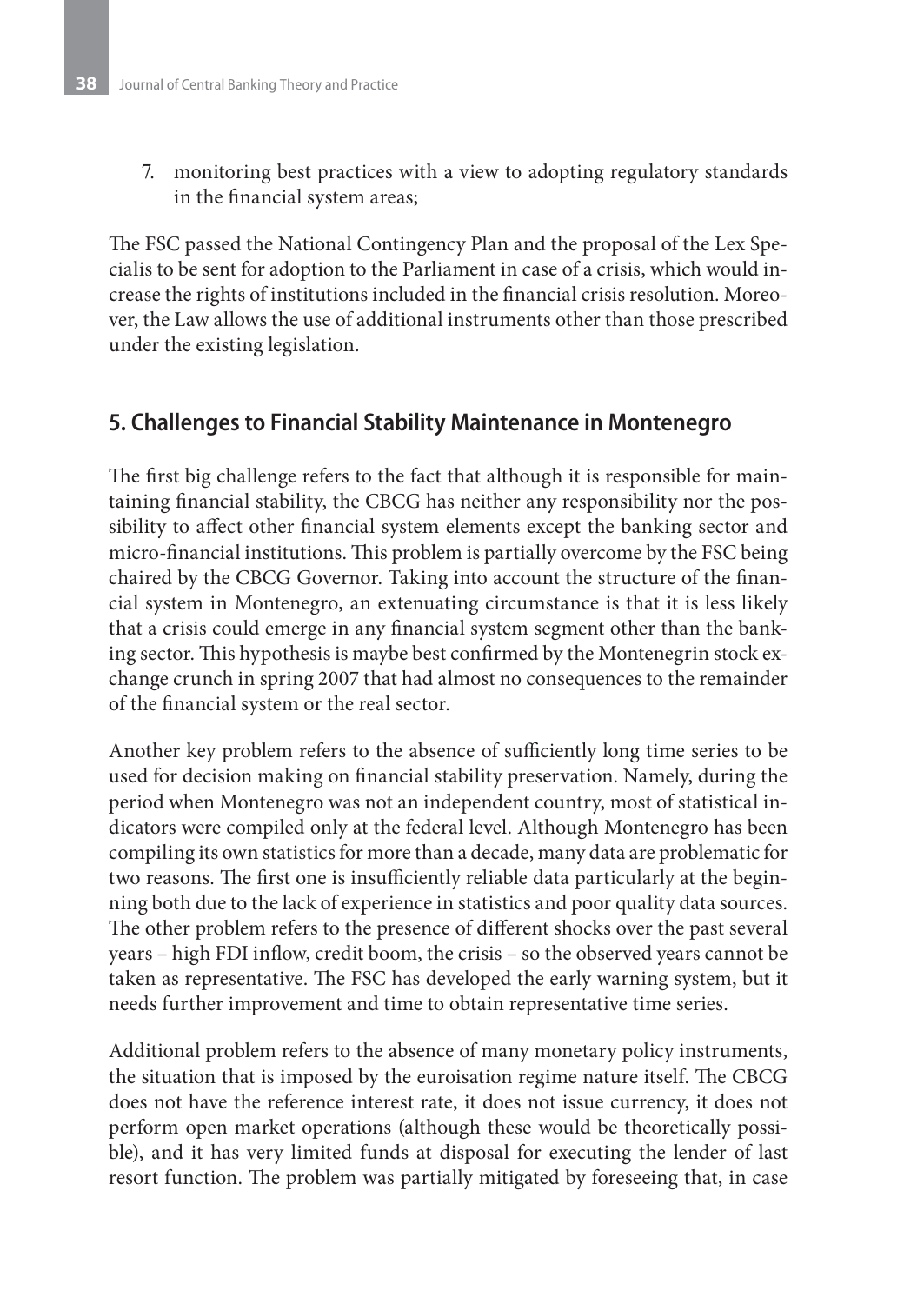7. monitoring best practices with a view to adopting regulatory standards in the financial system areas;

The FSC passed the National Contingency Plan and the proposal of the Lex Specialis to be sent for adoption to the Parliament in case of a crisis, which would increase the rights of institutions included in the financial crisis resolution. Moreover, the Law allows the use of additional instruments other than those prescribed under the existing legislation.

### **5. Challenges to Financial Stability Maintenance in Montenegro**

The first big challenge refers to the fact that although it is responsible for maintaining financial stability, the CBCG has neither any responsibility nor the possibility to affect other financial system elements except the banking sector and micro-financial institutions. This problem is partially overcome by the FSC being chaired by the CBCG Governor. Taking into account the structure of the financial system in Montenegro, an extenuating circumstance is that it is less likely that a crisis could emerge in any financial system segment other than the banking sector. This hypothesis is maybe best confirmed by the Montenegrin stock exchange crunch in spring 2007 that had almost no consequences to the remainder of the financial system or the real sector.

Another key problem refers to the absence of sufficiently long time series to be used for decision making on financial stability preservation. Namely, during the period when Montenegro was not an independent country, most of statistical indicators were compiled only at the federal level. Although Montenegro has been compiling its own statistics for more than a decade, many data are problematic for two reasons. The first one is insufficiently reliable data particularly at the beginning both due to the lack of experience in statistics and poor quality data sources. The other problem refers to the presence of different shocks over the past several years – high FDI inflow, credit boom, the crisis – so the observed years cannot be taken as representative. The FSC has developed the early warning system, but it needs further improvement and time to obtain representative time series.

Additional problem refers to the absence of many monetary policy instruments, the situation that is imposed by the euroisation regime nature itself. The CBCG does not have the reference interest rate, it does not issue currency, it does not perform open market operations (although these would be theoretically possible), and it has very limited funds at disposal for executing the lender of last resort function. The problem was partially mitigated by foreseeing that, in case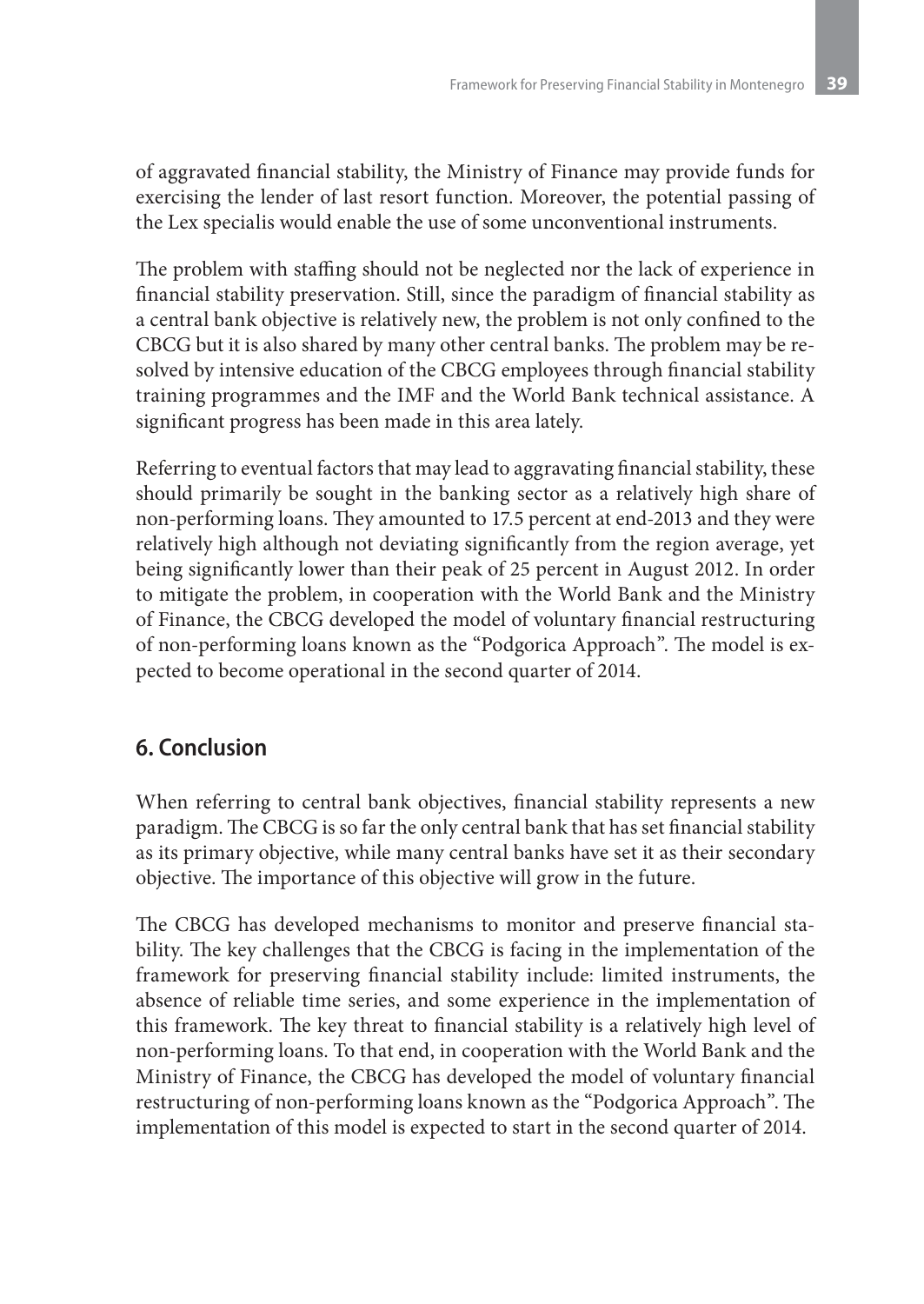of aggravated financial stability, the Ministry of Finance may provide funds for exercising the lender of last resort function. Moreover, the potential passing of the Lex specialis would enable the use of some unconventional instruments.

The problem with staffing should not be neglected nor the lack of experience in financial stability preservation. Still, since the paradigm of financial stability as a central bank objective is relatively new, the problem is not only confined to the CBCG but it is also shared by many other central banks. The problem may be resolved by intensive education of the CBCG employees through financial stability training programmes and the IMF and the World Bank technical assistance. A significant progress has been made in this area lately.

Referring to eventual factors that may lead to aggravating financial stability, these should primarily be sought in the banking sector as a relatively high share of non-performing loans. They amounted to 17.5 percent at end-2013 and they were relatively high although not deviating significantly from the region average, yet being significantly lower than their peak of 25 percent in August 2012. In order to mitigate the problem, in cooperation with the World Bank and the Ministry of Finance, the CBCG developed the model of voluntary financial restructuring of non-performing loans known as the "Podgorica Approach". The model is expected to become operational in the second quarter of 2014.

# **6. Conclusion**

When referring to central bank objectives, financial stability represents a new paradigm. The CBCG is so far the only central bank that has set financial stability as its primary objective, while many central banks have set it as their secondary objective. The importance of this objective will grow in the future.

The CBCG has developed mechanisms to monitor and preserve financial stability. The key challenges that the CBCG is facing in the implementation of the framework for preserving financial stability include: limited instruments, the absence of reliable time series, and some experience in the implementation of this framework. The key threat to financial stability is a relatively high level of non-performing loans. To that end, in cooperation with the World Bank and the Ministry of Finance, the CBCG has developed the model of voluntary financial restructuring of non-performing loans known as the "Podgorica Approach". The implementation of this model is expected to start in the second quarter of 2014.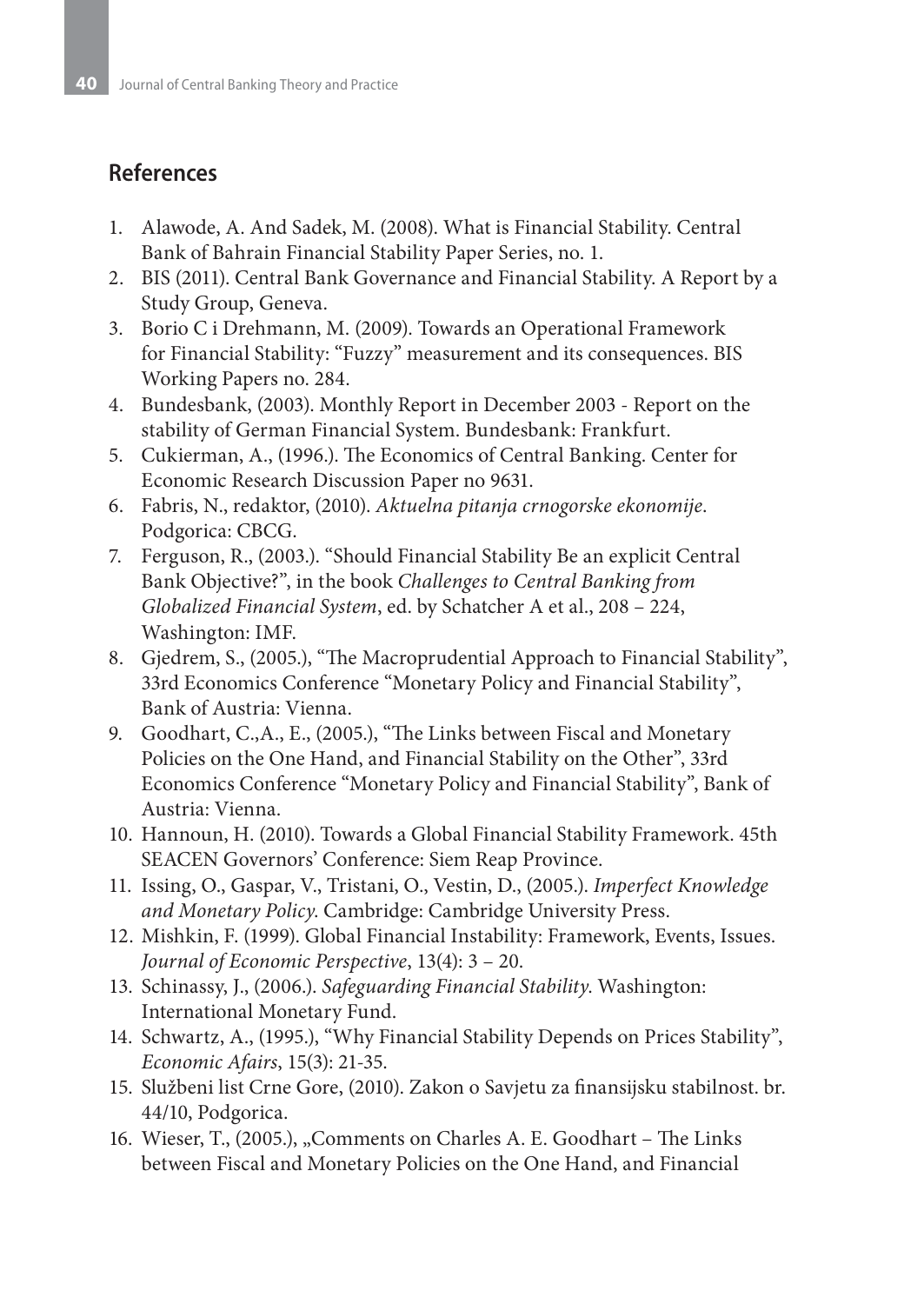### **References**

- 1. Alawode, A. And Sadek, M. (2008). What is Financial Stability. Central Bank of Bahrain Financial Stability Paper Series, no. 1.
- 2. BIS (2011). Central Bank Governance and Financial Stability. A Report by a Study Group, Geneva.
- 3. Borio C i Drehmann, M. (2009). Towards an Operational Framework for Financial Stability: "Fuzzy" measurement and its consequences. BIS Working Papers no. 284.
- 4. Bundesbank, (2003). Monthly Report in December 2003 Report on the stability of German Financial System. Bundesbank: Frankfurt.
- 5. Cukierman, A., (1996.). The Economics of Central Banking. Center for Economic Research Discussion Paper no 9631.
- 6. Fabris, N., redaktor, (2010). *Aktuelna pitanja crnogorske ekonomije*. Podgorica: CBCG.
- 7. Ferguson, R., (2003.). "Should Financial Stability Be an explicit Central Bank Objective?", in the book *Challenges to Central Banking from Globalized Financial System*, ed. by Schatcher A et al., 208 – 224, Washington: IMF.
- 8. Gjedrem, S., (2005.), "The Macroprudential Approach to Financial Stability", 33rd Economics Conference "Monetary Policy and Financial Stability", Bank of Austria: Vienna.
- 9. Goodhart, C.,A., E., (2005.), "The Links between Fiscal and Monetary Policies on the One Hand, and Financial Stability on the Other", 33rd Economics Conference "Monetary Policy and Financial Stability", Bank of Austria: Vienna.
- 10. Hannoun, H. (2010). Towards a Global Financial Stability Framework. 45th SEACEN Governors' Conference: Siem Reap Province.
- 11. Issing, O., Gaspar, V., Tristani, O., Vestin, D., (2005.). *Imperfect Knowledge and Monetary Policy*. Cambridge: Cambridge University Press.
- 12. Mishkin, F. (1999). Global Financial Instability: Framework, Events, Issues. *Journal of Economic Perspective*, 13(4): 3 – 20.
- 13. Schinassy, J., (2006.). *Safeguarding Financial Stability*. Washington: International Monetary Fund.
- 14. Schwartz, A., (1995.), "Why Financial Stability Depends on Prices Stability", *Economic Afairs*, 15(3): 21-35.
- 15. Službeni list Crne Gore, (2010). Zakon o Savjetu za finansijsku stabilnost. br. 44/10, Podgorica.
- 16. Wieser, T., (2005.), "Comments on Charles A. E. Goodhart The Links between Fiscal and Monetary Policies on the One Hand, and Financial